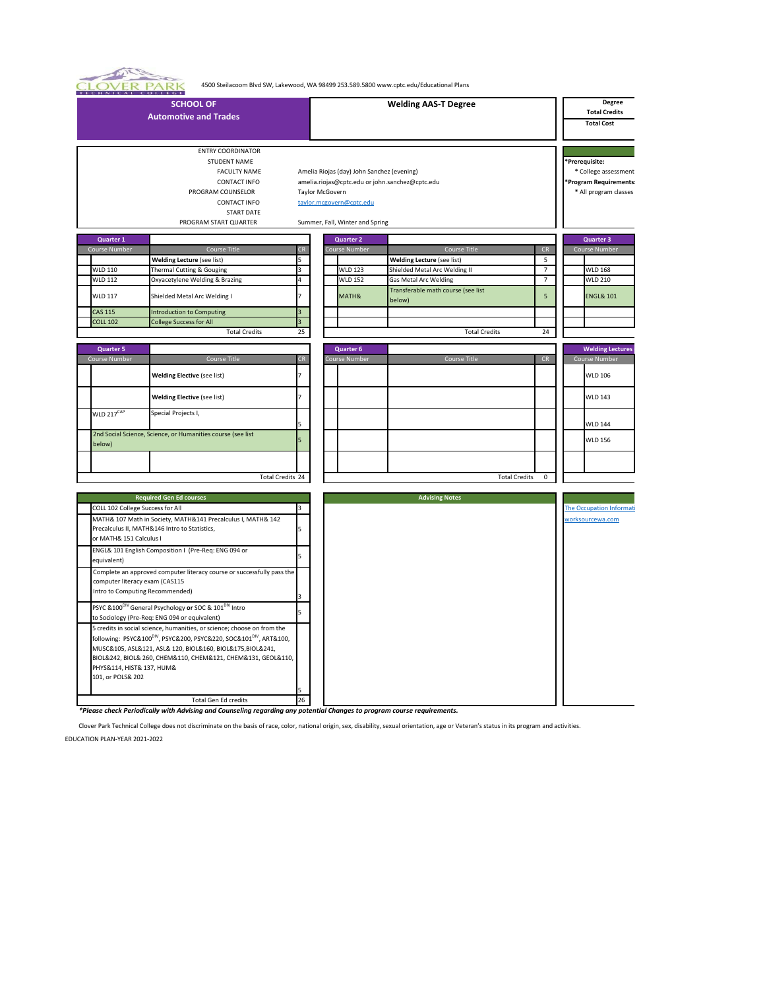4500 Steilacoom Blvd SW, Lakewood, WA 98499 253.589.5800 www.cptc.edu/Educational Plans

| TECHNICAL COLLEGE                                                 |                                                                                                                                                                           |    |                 |                                                                                                           |                                                 |                      |                 |                                                                                          |
|-------------------------------------------------------------------|---------------------------------------------------------------------------------------------------------------------------------------------------------------------------|----|-----------------|-----------------------------------------------------------------------------------------------------------|-------------------------------------------------|----------------------|-----------------|------------------------------------------------------------------------------------------|
|                                                                   | <b>SCHOOL OF</b><br><b>Automotive and Trades</b>                                                                                                                          |    |                 |                                                                                                           | <b>Welding AAS-T Degree</b>                     |                      |                 | Degree<br><b>Total Credits</b><br><b>Total Cost</b>                                      |
|                                                                   | <b>ENTRY COORDINATOR</b><br>STUDENT NAME<br>FACULTY NAME<br><b>CONTACT INFO</b><br>PROGRAM COUNSELOR<br><b>CONTACT INFO</b><br><b>START DATE</b><br>PROGRAM START QUARTER |    | Taylor McGovern | Amelia Riojas (day) John Sanchez (evening)<br>taylor.mcgovern@cptc.edu<br>Summer, Fall, Winter and Spring | amelia.riojas@cptc.edu or john.sanchez@cptc.edu |                      |                 | *Prerequisite:<br>* College assessment<br>Program Requirements:<br>* All program classes |
|                                                                   |                                                                                                                                                                           |    |                 |                                                                                                           |                                                 |                      |                 |                                                                                          |
| Quarter 1                                                         |                                                                                                                                                                           |    |                 | <b>Quarter 2</b>                                                                                          |                                                 |                      |                 | <b>Quarter 3</b>                                                                         |
| Course Number                                                     | Course Title                                                                                                                                                              | CR |                 | ourse Number                                                                                              | Course Title                                    |                      | ${\sf CR}$      | Course Number                                                                            |
|                                                                   | <b>Welding Lecture (see list)</b>                                                                                                                                         |    |                 |                                                                                                           | <b>Welding Lecture (see list)</b>               |                      | 5 <sup>5</sup>  |                                                                                          |
| <b>WLD 110</b>                                                    | Thermal Cutting & Gouging                                                                                                                                                 |    |                 | <b>WLD 123</b>                                                                                            | Shielded Metal Arc Welding II                   |                      | $\overline{7}$  | <b>WLD 168</b>                                                                           |
| <b>WLD 112</b>                                                    | Oxyacetylene Welding & Brazing                                                                                                                                            | 4  |                 | <b>WLD 152</b>                                                                                            | <b>Gas Metal Arc Welding</b>                    |                      | $7\overline{ }$ | <b>WLD 210</b>                                                                           |
| <b>WLD 117</b>                                                    | Shielded Metal Arc Welding I                                                                                                                                              |    |                 | MATH&                                                                                                     | Transferable math course (see list<br>below)    |                      | 5               | <b>ENGL&amp; 101</b>                                                                     |
| <b>CAS 115</b>                                                    | <b>Introduction to Computing</b>                                                                                                                                          |    |                 |                                                                                                           |                                                 |                      |                 |                                                                                          |
| <b>COLL 102</b>                                                   | College Success for All                                                                                                                                                   |    |                 |                                                                                                           |                                                 |                      |                 |                                                                                          |
|                                                                   | <b>Total Credits</b>                                                                                                                                                      | 25 |                 |                                                                                                           |                                                 | <b>Total Credits</b> | 24              |                                                                                          |
|                                                                   |                                                                                                                                                                           |    |                 | <b>Quarter 6</b>                                                                                          |                                                 |                      |                 | <b>Welding Lectures</b>                                                                  |
| <b>Quarter 5</b><br>Course Number                                 | Course Title                                                                                                                                                              | CR |                 | <b>Course Number</b>                                                                                      | Course Title                                    |                      | CR              | Course Number                                                                            |
|                                                                   |                                                                                                                                                                           |    |                 |                                                                                                           |                                                 |                      |                 |                                                                                          |
|                                                                   | <b>Welding Elective (see list)</b>                                                                                                                                        |    |                 |                                                                                                           |                                                 |                      |                 | <b>WLD 106</b>                                                                           |
|                                                                   | <b>Welding Elective (see list)</b>                                                                                                                                        |    |                 |                                                                                                           |                                                 |                      |                 | <b>WLD 143</b>                                                                           |
| WLD 217 <sup>CAP</sup>                                            | Special Projects I,                                                                                                                                                       |    |                 |                                                                                                           |                                                 |                      |                 | <b>WLD 144</b>                                                                           |
| below)                                                            | 2nd Social Science, Science, or Humanities course (see list                                                                                                               |    |                 |                                                                                                           |                                                 |                      |                 | <b>WLD 156</b>                                                                           |
|                                                                   |                                                                                                                                                                           |    |                 |                                                                                                           |                                                 |                      |                 |                                                                                          |
|                                                                   |                                                                                                                                                                           |    |                 |                                                                                                           |                                                 |                      |                 |                                                                                          |
|                                                                   | <b>Total Credits 24</b>                                                                                                                                                   |    |                 |                                                                                                           |                                                 | <b>Total Credits</b> | $\mathbf 0$     |                                                                                          |
|                                                                   |                                                                                                                                                                           |    |                 |                                                                                                           |                                                 |                      |                 |                                                                                          |
|                                                                   | <b>Required Gen Ed courses</b>                                                                                                                                            |    |                 |                                                                                                           | <b>Advising Notes</b>                           |                      |                 |                                                                                          |
| COLL 102 College Success for All                                  |                                                                                                                                                                           |    |                 |                                                                                                           |                                                 |                      |                 | <b>The Occupation Informati</b>                                                          |
|                                                                   | MATH& 107 Math in Society, MATH&141 Precalculus I, MATH& 142<br>Precalculus II, MATH&146 Intro to Statistics,                                                             |    |                 |                                                                                                           |                                                 |                      |                 | worksourcewa.com                                                                         |
| or MATH& 151 Calculus I                                           |                                                                                                                                                                           |    |                 |                                                                                                           |                                                 |                      |                 |                                                                                          |
|                                                                   |                                                                                                                                                                           |    |                 |                                                                                                           |                                                 |                      |                 |                                                                                          |
|                                                                   | ENGL& 101 English Composition I (Pre-Req: ENG 094 or                                                                                                                      |    |                 |                                                                                                           |                                                 |                      |                 |                                                                                          |
| equivalent)                                                       |                                                                                                                                                                           |    |                 |                                                                                                           |                                                 |                      |                 |                                                                                          |
|                                                                   | Complete an approved computer literacy course or successfully pass the                                                                                                    |    |                 |                                                                                                           |                                                 |                      |                 |                                                                                          |
| computer literacy exam (CAS115<br>Intro to Computing Recommended) |                                                                                                                                                                           |    |                 |                                                                                                           |                                                 |                      |                 |                                                                                          |
|                                                                   |                                                                                                                                                                           |    |                 |                                                                                                           |                                                 |                      |                 |                                                                                          |
|                                                                   | PSYC & 100 <sup>DIV</sup> General Psychology or SOC & 101 <sup>DIV</sup> Intro                                                                                            |    |                 |                                                                                                           |                                                 |                      |                 |                                                                                          |
|                                                                   | to Sociology (Pre-Req: ENG 094 or equivalent)                                                                                                                             |    |                 |                                                                                                           |                                                 |                      |                 |                                                                                          |
|                                                                   | 5 credits in social science, humanities, or science; choose on from the                                                                                                   |    |                 |                                                                                                           |                                                 |                      |                 |                                                                                          |
|                                                                   | following: PSYC&100 <sup>DIV</sup> , PSYC&200, PSYC&220, SOC&101 <sup>DIV</sup> , ART&100,                                                                                |    |                 |                                                                                                           |                                                 |                      |                 |                                                                                          |
|                                                                   | MUSC&105, ASL&121, ASL& 120, BIOL&160, BIOL&175, BIOL&241,                                                                                                                |    |                 |                                                                                                           |                                                 |                      |                 |                                                                                          |
|                                                                   | BIOL&242, BIOL& 260, CHEM&110, CHEM&121, CHEM&131, GEOL&110,                                                                                                              |    |                 |                                                                                                           |                                                 |                      |                 |                                                                                          |
| PHYS&114, HIST& 137, HUM&                                         |                                                                                                                                                                           |    |                 |                                                                                                           |                                                 |                      |                 |                                                                                          |
| 101, or POLS& 202                                                 |                                                                                                                                                                           |    |                 |                                                                                                           |                                                 |                      |                 |                                                                                          |
|                                                                   |                                                                                                                                                                           |    |                 |                                                                                                           |                                                 |                      |                 |                                                                                          |
|                                                                   | Total Gen Ed credits                                                                                                                                                      | 26 |                 |                                                                                                           |                                                 |                      |                 |                                                                                          |

*\*Please check Periodically with Advising and Counseling regarding any potential Changes to program course requirements.*

Clover Park Technical College does not discriminate on the basis of race, color, national origin, sex, disability, sexual orientation, age or Veteran's status in its program and activities.

EDUCATION PLAN-YEAR 2021-2022